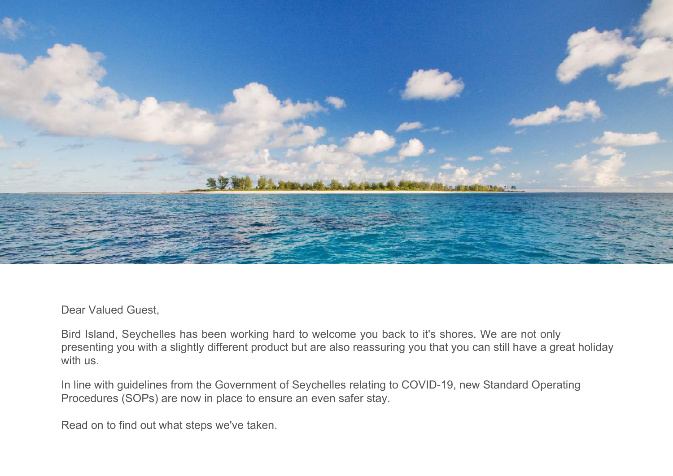

Dear Valued Guest,

Bird Island, Seychelles has been working hard to welcome you back to it's shores. We are not only presenting you with a slightly different product but are also reassuring you that you can still have a great holiday with us.

In line with guidelines from the Government of Seychelles relating to COVID-19, new Standard Operating Procedures (SOPs) are now in place to ensure an even safer stay.

Read on to find out what steps we've taken.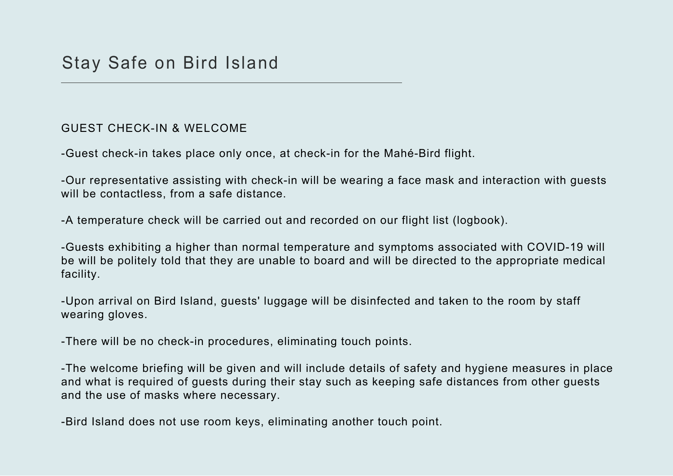## GUEST CHECK-IN & WELCOME

-Guest check-in takes place only once, at check-in for the Mahé-Bird flight.

-Our representative assisting with check-in will be wearing a face mask and interaction with guests will be contactless, from a safe distance.

-A temperature check will be carried out and recorded on our flight list (logbook).

-Guests exhibiting a higher than normal temperature and symptoms associated with COVID-19 will be will be politely told that they are unable to board and will be directed to the appropriate medical facility.

-Upon arrival on Bird Island, guests' luggage will be disinfected and taken to the room by staff wearing gloves.

-There will be no check-in procedures, eliminating touch points.

-The welcome briefing will be given and will include details of safety and hygiene measures in place and what is required of guests during their stay such as keeping safe distances from other guests and the use of masks where necessary.

-Bird Island does not use room keys, eliminating another touch point.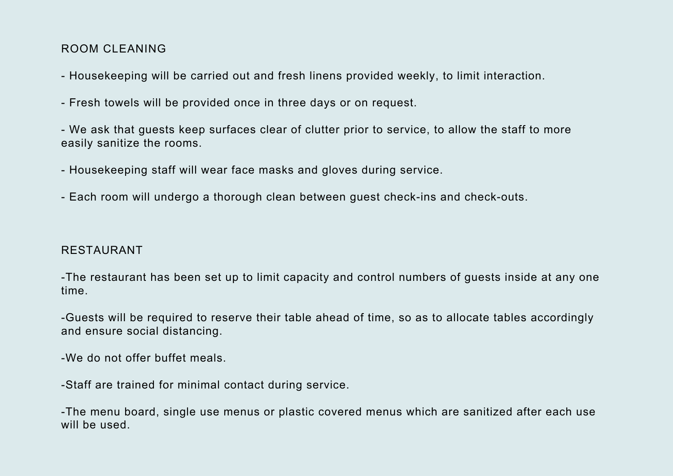## ROOM CLEANING

- Housekeeping will be carried out and fresh linens provided weekly, to limit interaction.
- Fresh towels will be provided once in three days or on request.
- We ask that guests keep surfaces clear of clutter prior to service, to allow the staff to more easily sanitize the rooms.
- Housekeeping staff will wear face masks and gloves during service.
- Each room will undergo a thorough clean between guest check-ins and check-outs.

## RESTAURANT

-The restaurant has been set up to limit capacity and control numbers of guests inside at any one time.

-Guests will be required to reserve their table ahead of time, so as to allocate tables accordingly and ensure social distancing.

-We do not offer buffet meals.

-Staff are trained for minimal contact during service.

-The menu board, single use menus or plastic covered menus which are sanitized after each use will be used.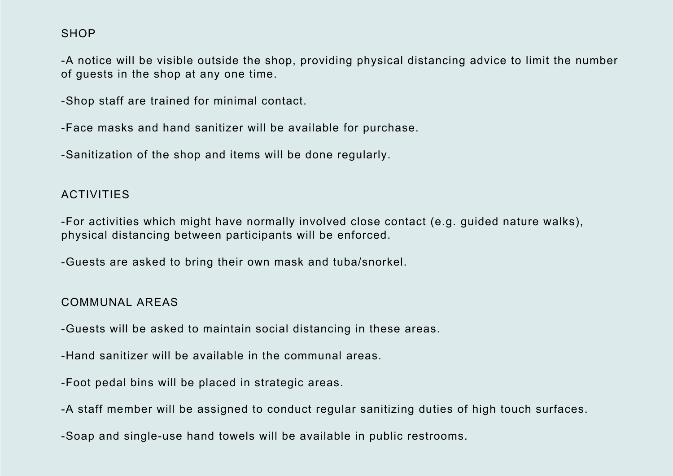## **SHOP**

-A notice will be visible outside the shop, providing physical distancing advice to limit the number of guests in the shop at any one time.

-Shop staff are trained for minimal contact.

-Face masks and hand sanitizer will be available for purchase.

-Sanitization of the shop and items will be done regularly.

#### ACTIVITIES

-For activities which might have normally involved close contact (e.g. guided nature walks), physical distancing between participants will be enforced.

-Guests are asked to bring their own mask and tuba/snorkel.

#### COMMUNAL AREAS

-Guests will be asked to maintain social distancing in these areas.

-Hand sanitizer will be available in the communal areas.

-Foot pedal bins will be placed in strategic areas.

-A staff member will be assigned to conduct regular sanitizing duties of high touch surfaces.

-Soap and single-use hand towels will be available in public restrooms.